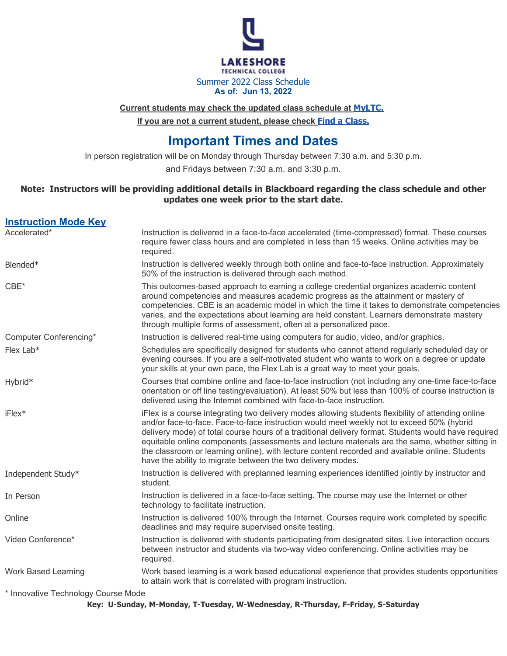

**Current students may check the updated class schedule at [MyLTC.](https://myportal.mywilm.com/psc/LTC/EMPLOYEE/EMPL/c/NUI_FRAMEWORK.PT_LANDINGPAGE.GBL)**

**If you are not a current student, please check [Find a Class.](https://gotoltc.edu/find-a-class/class-search/class-search.php)**

# **Important Times and Dates**

In person registration will be on Monday through Thursday between 7:30 a.m. and 5:30 p.m.

and Fridays between 7:30 a.m. and 3:30 p.m.

#### **Note: Instructors will be providing additional details in Blackboard regarding the class schedule and other updates one week prior to the start date.**

| <b>Instruction Mode Key</b>                               |                                                                                                                                                                                                                                                                                                                                                                                                                                                                                                                                                                             |
|-----------------------------------------------------------|-----------------------------------------------------------------------------------------------------------------------------------------------------------------------------------------------------------------------------------------------------------------------------------------------------------------------------------------------------------------------------------------------------------------------------------------------------------------------------------------------------------------------------------------------------------------------------|
| Accelerated*                                              | Instruction is delivered in a face-to-face accelerated (time-compressed) format. These courses<br>require fewer class hours and are completed in less than 15 weeks. Online activities may be<br>required.                                                                                                                                                                                                                                                                                                                                                                  |
| Blended*                                                  | Instruction is delivered weekly through both online and face-to-face instruction. Approximately<br>50% of the instruction is delivered through each method.                                                                                                                                                                                                                                                                                                                                                                                                                 |
| $CBE*$                                                    | This outcomes-based approach to earning a college credential organizes academic content<br>around competencies and measures academic progress as the attainment or mastery of<br>competencies. CBE is an academic model in which the time it takes to demonstrate competencies<br>varies, and the expectations about learning are held constant. Learners demonstrate mastery<br>through multiple forms of assessment, often at a personalized pace.                                                                                                                        |
| Computer Conferencing*                                    | Instruction is delivered real-time using computers for audio, video, and/or graphics.                                                                                                                                                                                                                                                                                                                                                                                                                                                                                       |
| Flex Lab*                                                 | Schedules are specifically designed for students who cannot attend regularly scheduled day or<br>evening courses. If you are a self-motivated student who wants to work on a degree or update<br>your skills at your own pace, the Flex Lab is a great way to meet your goals.                                                                                                                                                                                                                                                                                              |
| Hybrid*                                                   | Courses that combine online and face-to-face instruction (not including any one-time face-to-face<br>orientation or off line testing/evaluation). At least 50% but less than 100% of course instruction is<br>delivered using the Internet combined with face-to-face instruction.                                                                                                                                                                                                                                                                                          |
| $iFlex*$                                                  | iFlex is a course integrating two delivery modes allowing students flexibility of attending online<br>and/or face-to-face. Face-to-face instruction would meet weekly not to exceed 50% (hybrid<br>delivery mode) of total course hours of a traditional delivery format. Students would have required<br>equitable online components (assessments and lecture materials are the same, whether sitting in<br>the classroom or learning online), with lecture content recorded and available online. Students<br>have the ability to migrate between the two delivery modes. |
| Independent Study*                                        | Instruction is delivered with preplanned learning experiences identified jointly by instructor and<br>student.                                                                                                                                                                                                                                                                                                                                                                                                                                                              |
| In Person                                                 | Instruction is delivered in a face-to-face setting. The course may use the Internet or other<br>technology to facilitate instruction.                                                                                                                                                                                                                                                                                                                                                                                                                                       |
| Online                                                    | Instruction is delivered 100% through the Internet. Courses require work completed by specific<br>deadlines and may require supervised onsite testing.                                                                                                                                                                                                                                                                                                                                                                                                                      |
| Video Conference*                                         | Instruction is delivered with students participating from designated sites. Live interaction occurs<br>between instructor and students via two-way video conferencing. Online activities may be<br>required.                                                                                                                                                                                                                                                                                                                                                                |
| <b>Work Based Learning</b>                                | Work based learning is a work based educational experience that provides students opportunities<br>to attain work that is correlated with program instruction.                                                                                                                                                                                                                                                                                                                                                                                                              |
| $*$ becomes the $\tau$ extended and $\alpha$ and $\alpha$ |                                                                                                                                                                                                                                                                                                                                                                                                                                                                                                                                                                             |

Innovative Technology Course Mode

**Key: U-Sunday, M-Monday, T-Tuesday, W-Wednesday, R-Thursday, F-Friday, S-Saturday**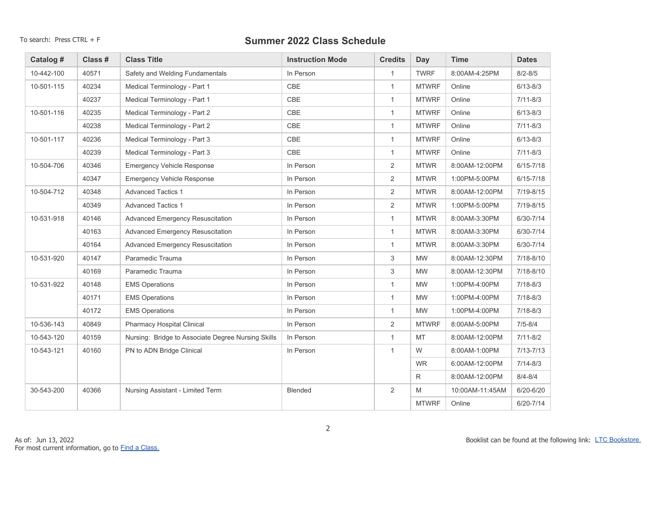| Catalog #  | Class # | <b>Class Title</b>                                 | <b>Instruction Mode</b> | <b>Credits</b> | Day          | <b>Time</b>     | <b>Dates</b>  |
|------------|---------|----------------------------------------------------|-------------------------|----------------|--------------|-----------------|---------------|
| 10-442-100 | 40571   | Safety and Welding Fundamentals                    | In Person               | $\mathbf{1}$   | <b>TWRF</b>  | 8:00AM-4:25PM   | $8/2 - 8/5$   |
| 10-501-115 | 40234   | Medical Terminology - Part 1                       | CBE                     | $\mathbf{1}$   | <b>MTWRF</b> | Online          | $6/13 - 8/3$  |
|            | 40237   | Medical Terminology - Part 1                       | CBE                     | $\mathbf{1}$   | <b>MTWRF</b> | Online          | $7/11 - 8/3$  |
| 10-501-116 | 40235   | Medical Terminology - Part 2                       | CBE                     | $\mathbf{1}$   | <b>MTWRF</b> | Online          | $6/13 - 8/3$  |
|            | 40238   | Medical Terminology - Part 2                       | CBE                     | $\mathbf{1}$   | <b>MTWRF</b> | Online          | $7/11 - 8/3$  |
| 10-501-117 | 40236   | Medical Terminology - Part 3                       | CBE                     | $\mathbf{1}$   | <b>MTWRF</b> | Online          | $6/13 - 8/3$  |
|            | 40239   | Medical Terminology - Part 3                       | CBE                     | $\mathbf{1}$   | <b>MTWRF</b> | Online          | $7/11 - 8/3$  |
| 10-504-706 | 40346   | <b>Emergency Vehicle Response</b>                  | In Person               | $\overline{2}$ | <b>MTWR</b>  | 8:00AM-12:00PM  | $6/15 - 7/18$ |
|            | 40347   | <b>Emergency Vehicle Response</b>                  | In Person               | $\overline{2}$ | <b>MTWR</b>  | 1:00PM-5:00PM   | $6/15 - 7/18$ |
| 10-504-712 | 40348   | <b>Advanced Tactics 1</b>                          | In Person               | $\overline{2}$ | <b>MTWR</b>  | 8:00AM-12:00PM  | $7/19 - 8/15$ |
|            | 40349   | <b>Advanced Tactics 1</b>                          | In Person               | $\overline{2}$ | <b>MTWR</b>  | 1:00PM-5:00PM   | 7/19-8/15     |
| 10-531-918 | 40146   | Advanced Emergency Resuscitation                   | In Person               | $\mathbf{1}$   | <b>MTWR</b>  | 8:00AM-3:30PM   | 6/30-7/14     |
|            | 40163   | <b>Advanced Emergency Resuscitation</b>            | In Person               | $\mathbf{1}$   | <b>MTWR</b>  | 8:00AM-3:30PM   | $6/30 - 7/14$ |
|            | 40164   | <b>Advanced Emergency Resuscitation</b>            | In Person               | $\mathbf{1}$   | <b>MTWR</b>  | 8:00AM-3:30PM   | 6/30-7/14     |
| 10-531-920 | 40147   | Paramedic Trauma                                   | In Person               | 3              | <b>MW</b>    | 8:00AM-12:30PM  | $7/18 - 8/10$ |
|            | 40169   | Paramedic Trauma                                   | In Person               | 3              | <b>MW</b>    | 8:00AM-12:30PM  | $7/18 - 8/10$ |
| 10-531-922 | 40148   | <b>EMS Operations</b>                              | In Person               | $\mathbf{1}$   | <b>MW</b>    | 1:00PM-4:00PM   | $7/18 - 8/3$  |
|            | 40171   | <b>EMS Operations</b>                              | In Person               | $\mathbf{1}$   | <b>MW</b>    | 1:00PM-4:00PM   | $7/18 - 8/3$  |
|            | 40172   | <b>EMS Operations</b>                              | In Person               | $\mathbf{1}$   | <b>MW</b>    | 1:00PM-4:00PM   | $7/18 - 8/3$  |
| 10-536-143 | 40849   | <b>Pharmacy Hospital Clinical</b>                  | In Person               | $\overline{2}$ | <b>MTWRF</b> | 8:00AM-5:00PM   | $7/5 - 8/4$   |
| 10-543-120 | 40159   | Nursing: Bridge to Associate Degree Nursing Skills | In Person               | $\mathbf{1}$   | <b>MT</b>    | 8:00AM-12:00PM  | $7/11 - 8/2$  |
| 10-543-121 | 40160   | PN to ADN Bridge Clinical                          | In Person               | $\mathbf{1}$   | W            | 8:00AM-1:00PM   | $7/13 - 7/13$ |
|            |         |                                                    |                         |                | <b>WR</b>    | 6:00AM-12:00PM  | $7/14 - 8/3$  |
|            |         |                                                    |                         |                | R            | 8:00AM-12:00PM  | $8/4 - 8/4$   |
| 30-543-200 | 40366   | Nursing Assistant - Limited Term                   | <b>Blended</b>          | $\overline{2}$ | M            | 10:00AM-11:45AM | $6/20 - 6/20$ |
|            |         |                                                    |                         |                | <b>MTWRF</b> | Online          | $6/20 - 7/14$ |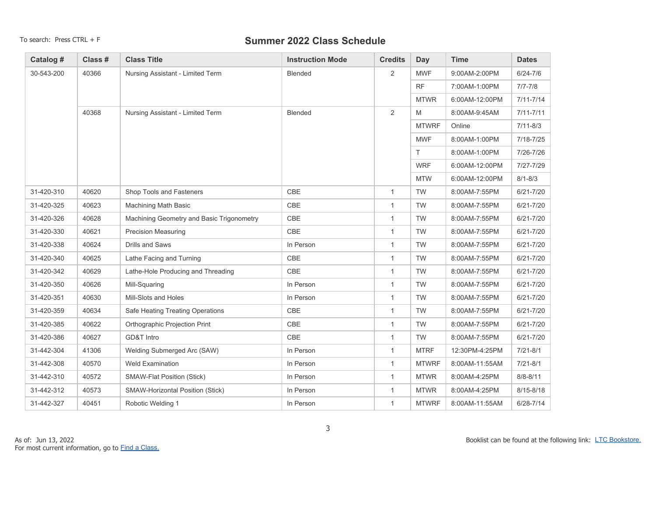| Catalog #  | Class # | <b>Class Title</b>                        | <b>Instruction Mode</b> | <b>Credits</b> | <b>Day</b>   | <b>Time</b>    | <b>Dates</b>  |
|------------|---------|-------------------------------------------|-------------------------|----------------|--------------|----------------|---------------|
| 30-543-200 | 40366   | Nursing Assistant - Limited Term          | Blended                 | $\overline{2}$ | <b>MWF</b>   | 9:00AM-2:00PM  | $6/24 - 7/6$  |
|            |         |                                           |                         |                | <b>RF</b>    | 7:00AM-1:00PM  | $7/7 - 7/8$   |
|            |         |                                           |                         |                | <b>MTWR</b>  | 6:00AM-12:00PM | $7/11 - 7/14$ |
|            | 40368   | Nursing Assistant - Limited Term          | <b>Blended</b>          | 2              | M            | 8:00AM-9:45AM  | $7/11 - 7/11$ |
|            |         |                                           |                         |                | <b>MTWRF</b> | Online         | $7/11 - 8/3$  |
|            |         |                                           |                         |                | <b>MWF</b>   | 8:00AM-1:00PM  | 7/18-7/25     |
|            |         |                                           |                         |                | T.           | 8:00AM-1:00PM  | 7/26-7/26     |
|            |         |                                           |                         |                | <b>WRF</b>   | 6:00AM-12:00PM | 7/27-7/29     |
|            |         |                                           |                         |                | <b>MTW</b>   | 6:00AM-12:00PM | $8/1 - 8/3$   |
| 31-420-310 | 40620   | Shop Tools and Fasteners                  | CBE                     | $\mathbf{1}$   | <b>TW</b>    | 8:00AM-7:55PM  | $6/21 - 7/20$ |
| 31-420-325 | 40623   | Machining Math Basic                      | CBE                     | $\mathbf{1}$   | <b>TW</b>    | 8:00AM-7:55PM  | $6/21 - 7/20$ |
| 31-420-326 | 40628   | Machining Geometry and Basic Trigonometry | CBE                     | $\mathbf{1}$   | <b>TW</b>    | 8:00AM-7:55PM  | $6/21 - 7/20$ |
| 31-420-330 | 40621   | <b>Precision Measuring</b>                | CBE                     | $\mathbf{1}$   | <b>TW</b>    | 8:00AM-7:55PM  | $6/21 - 7/20$ |
| 31-420-338 | 40624   | <b>Drills and Saws</b>                    | In Person               | $\mathbf{1}$   | <b>TW</b>    | 8:00AM-7:55PM  | $6/21 - 7/20$ |
| 31-420-340 | 40625   | Lathe Facing and Turning                  | CBE                     | $\mathbf{1}$   | <b>TW</b>    | 8:00AM-7:55PM  | $6/21 - 7/20$ |
| 31-420-342 | 40629   | Lathe-Hole Producing and Threading        | CBE                     | $\mathbf{1}$   | <b>TW</b>    | 8:00AM-7:55PM  | $6/21 - 7/20$ |
| 31-420-350 | 40626   | Mill-Squaring                             | In Person               | $\mathbf{1}$   | <b>TW</b>    | 8:00AM-7:55PM  | $6/21 - 7/20$ |
| 31-420-351 | 40630   | Mill-Slots and Holes                      | In Person               | $\mathbf{1}$   | <b>TW</b>    | 8:00AM-7:55PM  | $6/21 - 7/20$ |
| 31-420-359 | 40634   | Safe Heating Treating Operations          | CBE                     | $\mathbf{1}$   | <b>TW</b>    | 8:00AM-7:55PM  | $6/21 - 7/20$ |
| 31-420-385 | 40622   | Orthographic Projection Print             | CBE                     | $\mathbf{1}$   | TW           | 8:00AM-7:55PM  | $6/21 - 7/20$ |
| 31-420-386 | 40627   | GD&T Intro                                | CBE                     | $\mathbf{1}$   | <b>TW</b>    | 8:00AM-7:55PM  | $6/21 - 7/20$ |
| 31-442-304 | 41306   | Welding Submerged Arc (SAW)               | In Person               | $\mathbf{1}$   | <b>MTRF</b>  | 12:30PM-4:25PM | $7/21 - 8/1$  |
| 31-442-308 | 40570   | <b>Weld Examination</b>                   | In Person               | $\mathbf{1}$   | <b>MTWRF</b> | 8:00AM-11:55AM | $7/21 - 8/1$  |
| 31-442-310 | 40572   | <b>SMAW-Flat Position (Stick)</b>         | In Person               | $\mathbf{1}$   | <b>MTWR</b>  | 8:00AM-4:25PM  | $8/8 - 8/11$  |
| 31-442-312 | 40573   | SMAW-Horizontal Position (Stick)          | In Person               | $\mathbf{1}$   | <b>MTWR</b>  | 8:00AM-4:25PM  | $8/15 - 8/18$ |
| 31-442-327 | 40451   | Robotic Welding 1                         | In Person               | $\mathbf{1}$   | <b>MTWRF</b> | 8:00AM-11:55AM | $6/28 - 7/14$ |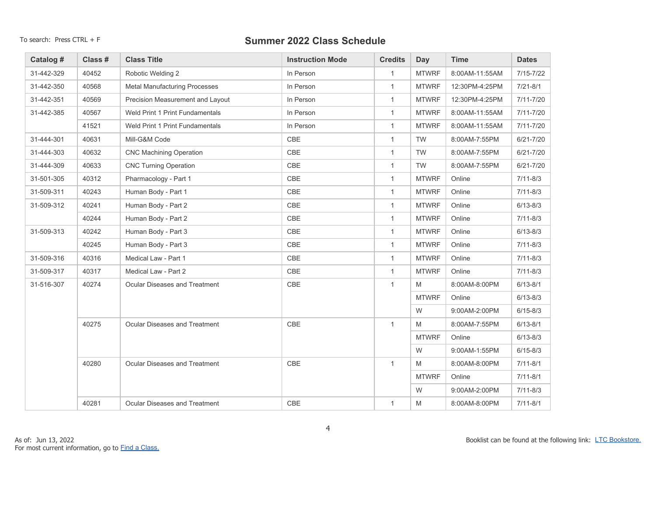| Catalog #  | Class # | <b>Class Title</b>                   | <b>Instruction Mode</b> | <b>Credits</b> | <b>Day</b>   | <b>Time</b>    | <b>Dates</b>  |
|------------|---------|--------------------------------------|-------------------------|----------------|--------------|----------------|---------------|
| 31-442-329 | 40452   | Robotic Welding 2                    | In Person               | $\mathbf{1}$   | <b>MTWRF</b> | 8:00AM-11:55AM | $7/15 - 7/22$ |
| 31-442-350 | 40568   | <b>Metal Manufacturing Processes</b> | In Person               | $\mathbf{1}$   | <b>MTWRF</b> | 12:30PM-4:25PM | $7/21 - 8/1$  |
| 31-442-351 | 40569   | Precision Measurement and Layout     | In Person               | $\mathbf{1}$   | <b>MTWRF</b> | 12:30PM-4:25PM | $7/11 - 7/20$ |
| 31-442-385 | 40567   | Weld Print 1 Print Fundamentals      | In Person               | $\mathbf{1}$   | <b>MTWRF</b> | 8:00AM-11:55AM | $7/11 - 7/20$ |
|            | 41521   | Weld Print 1 Print Fundamentals      | In Person               | $\mathbf{1}$   | <b>MTWRF</b> | 8:00AM-11:55AM | $7/11 - 7/20$ |
| 31-444-301 | 40631   | Mill-G&M Code                        | CBE                     | $\mathbf{1}$   | <b>TW</b>    | 8:00AM-7:55PM  | $6/21 - 7/20$ |
| 31-444-303 | 40632   | <b>CNC Machining Operation</b>       | CBE                     | $\mathbf{1}$   | <b>TW</b>    | 8:00AM-7:55PM  | $6/21 - 7/20$ |
| 31-444-309 | 40633   | <b>CNC Turning Operation</b>         | CBE                     | $\mathbf{1}$   | <b>TW</b>    | 8:00AM-7:55PM  | $6/21 - 7/20$ |
| 31-501-305 | 40312   | Pharmacology - Part 1                | CBE                     | $\mathbf{1}$   | <b>MTWRF</b> | Online         | $7/11 - 8/3$  |
| 31-509-311 | 40243   | Human Body - Part 1                  | CBE                     | $\mathbf{1}$   | <b>MTWRF</b> | Online         | $7/11 - 8/3$  |
| 31-509-312 | 40241   | Human Body - Part 2                  | CBE                     | $\mathbf{1}$   | <b>MTWRF</b> | Online         | $6/13 - 8/3$  |
|            | 40244   | Human Body - Part 2                  | CBE                     | $\mathbf{1}$   | <b>MTWRF</b> | Online         | $7/11 - 8/3$  |
| 31-509-313 | 40242   | Human Body - Part 3                  | CBE                     | $\mathbf{1}$   | <b>MTWRF</b> | Online         | $6/13 - 8/3$  |
|            | 40245   | Human Body - Part 3                  | CBE                     | $\mathbf{1}$   | <b>MTWRF</b> | Online         | $7/11 - 8/3$  |
| 31-509-316 | 40316   | Medical Law - Part 1                 | CBE                     | $\mathbf{1}$   | <b>MTWRF</b> | Online         | $7/11 - 8/3$  |
| 31-509-317 | 40317   | Medical Law - Part 2                 | CBE                     | $\mathbf{1}$   | <b>MTWRF</b> | Online         | $7/11 - 8/3$  |
| 31-516-307 | 40274   | Ocular Diseases and Treatment        | CBE                     | $\mathbf{1}$   | M            | 8:00AM-8:00PM  | $6/13 - 8/1$  |
|            |         |                                      |                         |                | <b>MTWRF</b> | Online         | $6/13 - 8/3$  |
|            |         |                                      |                         |                | W            | 9:00AM-2:00PM  | $6/15 - 8/3$  |
|            | 40275   | <b>Ocular Diseases and Treatment</b> | CBE                     | $\mathbf{1}$   | M            | 8:00AM-7:55PM  | $6/13 - 8/1$  |
|            |         |                                      |                         |                | <b>MTWRF</b> | Online         | $6/13 - 8/3$  |
|            |         |                                      |                         |                | W            | 9:00AM-1:55PM  | $6/15 - 8/3$  |
|            | 40280   | <b>Ocular Diseases and Treatment</b> | CBE                     | $\mathbf{1}$   | M            | 8:00AM-8:00PM  | $7/11 - 8/1$  |
|            |         |                                      |                         |                | <b>MTWRF</b> | Online         | $7/11 - 8/1$  |
|            |         |                                      |                         |                | W            | 9:00AM-2:00PM  | $7/11 - 8/3$  |
|            | 40281   | <b>Ocular Diseases and Treatment</b> | CBE                     | $\mathbf{1}$   | M            | 8:00AM-8:00PM  | $7/11 - 8/1$  |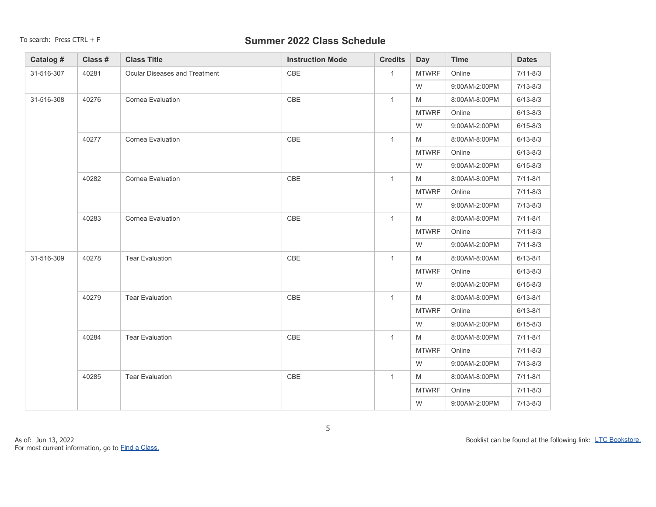| Catalog #  | Class # | <b>Class Title</b>            | <b>Instruction Mode</b> | <b>Credits</b> | <b>Day</b>   | <b>Time</b>   | <b>Dates</b> |
|------------|---------|-------------------------------|-------------------------|----------------|--------------|---------------|--------------|
| 31-516-307 | 40281   | Ocular Diseases and Treatment | CBE                     | $\mathbf{1}$   | <b>MTWRF</b> | Online        | $7/11 - 8/3$ |
|            |         |                               |                         |                | W            | 9:00AM-2:00PM | $7/13 - 8/3$ |
| 31-516-308 | 40276   | Cornea Evaluation             | CBE                     | $\mathbf{1}$   | M            | 8:00AM-8:00PM | $6/13 - 8/3$ |
|            |         |                               |                         |                | <b>MTWRF</b> | Online        | $6/13 - 8/3$ |
|            |         |                               |                         |                | W            | 9:00AM-2:00PM | $6/15 - 8/3$ |
|            | 40277   | Cornea Evaluation             | CBE                     | $\mathbf{1}$   | M            | 8:00AM-8:00PM | $6/13 - 8/3$ |
|            |         |                               |                         |                | <b>MTWRF</b> | Online        | $6/13 - 8/3$ |
|            |         |                               |                         |                | W            | 9:00AM-2:00PM | $6/15 - 8/3$ |
|            | 40282   | Cornea Evaluation             | CBE                     | $\mathbf{1}$   | M            | 8:00AM-8:00PM | $7/11 - 8/1$ |
|            |         |                               |                         |                | <b>MTWRF</b> | Online        | $7/11 - 8/3$ |
|            |         |                               |                         |                | W            | 9:00AM-2:00PM | $7/13 - 8/3$ |
|            | 40283   | Cornea Evaluation             | CBE                     | $\mathbf{1}$   | M            | 8:00AM-8:00PM | $7/11 - 8/1$ |
|            |         |                               |                         |                | <b>MTWRF</b> | Online        | $7/11 - 8/3$ |
|            |         |                               |                         |                | W            | 9:00AM-2:00PM | $7/11 - 8/3$ |
| 31-516-309 | 40278   | <b>Tear Evaluation</b>        | CBE                     | $\mathbf{1}$   | M            | 8:00AM-8:00AM | $6/13 - 8/1$ |
|            |         |                               |                         |                | <b>MTWRF</b> | Online        | $6/13 - 8/3$ |
|            |         |                               |                         |                | W            | 9:00AM-2:00PM | $6/15 - 8/3$ |
|            | 40279   | <b>Tear Evaluation</b>        | CBE                     | $\mathbf{1}$   | M            | 8:00AM-8:00PM | $6/13 - 8/1$ |
|            |         |                               |                         |                | <b>MTWRF</b> | Online        | $6/13 - 8/1$ |
|            |         |                               |                         |                | W            | 9:00AM-2:00PM | $6/15 - 8/3$ |
|            | 40284   | <b>Tear Evaluation</b>        | CBE                     | $\mathbf{1}$   | M            | 8:00AM-8:00PM | $7/11 - 8/1$ |
|            |         |                               |                         |                | <b>MTWRF</b> | Online        | $7/11 - 8/3$ |
|            |         |                               |                         |                | W            | 9:00AM-2:00PM | $7/13 - 8/3$ |
|            | 40285   | <b>Tear Evaluation</b>        | CBE                     | $\mathbf{1}$   | M            | 8:00AM-8:00PM | $7/11 - 8/1$ |
|            |         |                               |                         |                | <b>MTWRF</b> | Online        | $7/11 - 8/3$ |
|            |         |                               |                         |                | W            | 9:00AM-2:00PM | $7/13 - 8/3$ |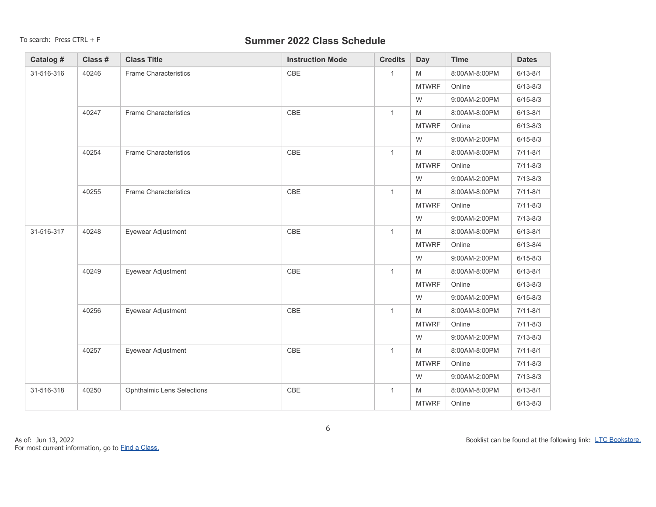| Catalog #      | Class # | <b>Class Title</b>                | <b>Instruction Mode</b> | <b>Credits</b> | <b>Day</b>   | <b>Time</b>   | <b>Dates</b> |
|----------------|---------|-----------------------------------|-------------------------|----------------|--------------|---------------|--------------|
| 31-516-316     | 40246   | <b>Frame Characteristics</b>      | CBE                     | $\mathbf{1}$   | M            | 8:00AM-8:00PM | $6/13 - 8/1$ |
|                |         |                                   |                         |                | <b>MTWRF</b> | Online        | $6/13 - 8/3$ |
|                |         |                                   |                         |                | W            | 9:00AM-2:00PM | $6/15 - 8/3$ |
|                | 40247   | <b>Frame Characteristics</b>      | CBE                     | $\mathbf{1}$   | M            | 8:00AM-8:00PM | $6/13 - 8/1$ |
|                |         |                                   |                         |                | <b>MTWRF</b> | Online        | $6/13 - 8/3$ |
|                |         |                                   |                         |                | W            | 9:00AM-2:00PM | $6/15 - 8/3$ |
| 40254<br>40255 |         | <b>Frame Characteristics</b>      | CBE                     | $\mathbf{1}$   | M            | 8:00AM-8:00PM | $7/11 - 8/1$ |
|                |         |                                   |                         |                | <b>MTWRF</b> | Online        | $7/11 - 8/3$ |
|                |         |                                   |                         |                | W            | 9:00AM-2:00PM | $7/13 - 8/3$ |
|                |         | <b>Frame Characteristics</b>      | CBE                     | $\mathbf{1}$   | M            | 8:00AM-8:00PM | $7/11 - 8/1$ |
|                |         |                                   |                         |                | <b>MTWRF</b> | Online        | $7/11 - 8/3$ |
|                |         |                                   |                         |                | W            | 9:00AM-2:00PM | $7/13 - 8/3$ |
| 31-516-317     | 40248   | Eyewear Adjustment                | CBE                     | $\mathbf{1}$   | M            | 8:00AM-8:00PM | $6/13 - 8/1$ |
|                |         |                                   |                         |                | <b>MTWRF</b> | Online        | $6/13 - 8/4$ |
|                |         |                                   |                         |                | W            | 9:00AM-2:00PM | $6/15 - 8/3$ |
|                | 40249   | Eyewear Adjustment                | CBE                     | $\mathbf{1}$   | M            | 8:00AM-8:00PM | $6/13 - 8/1$ |
|                |         |                                   |                         |                | <b>MTWRF</b> | Online        | $6/13 - 8/3$ |
|                |         |                                   |                         |                | W            | 9:00AM-2:00PM | $6/15 - 8/3$ |
|                | 40256   | Eyewear Adjustment                | CBE                     | $\mathbf{1}$   | M            | 8:00AM-8:00PM | $7/11 - 8/1$ |
|                |         |                                   |                         |                | <b>MTWRF</b> | Online        | $7/11 - 8/3$ |
|                |         |                                   |                         |                | W            | 9:00AM-2:00PM | $7/13 - 8/3$ |
|                | 40257   | Eyewear Adjustment                | CBE                     | $\mathbf{1}$   | M            | 8:00AM-8:00PM | $7/11 - 8/1$ |
|                |         |                                   |                         |                | <b>MTWRF</b> | Online        | $7/11 - 8/3$ |
|                |         |                                   |                         |                | W            | 9:00AM-2:00PM | $7/13 - 8/3$ |
| 31-516-318     | 40250   | <b>Ophthalmic Lens Selections</b> | CBE                     | $\mathbf{1}$   | M            | 8:00AM-8:00PM | $6/13 - 8/1$ |
|                |         |                                   |                         |                | <b>MTWRF</b> | Online        | $6/13 - 8/3$ |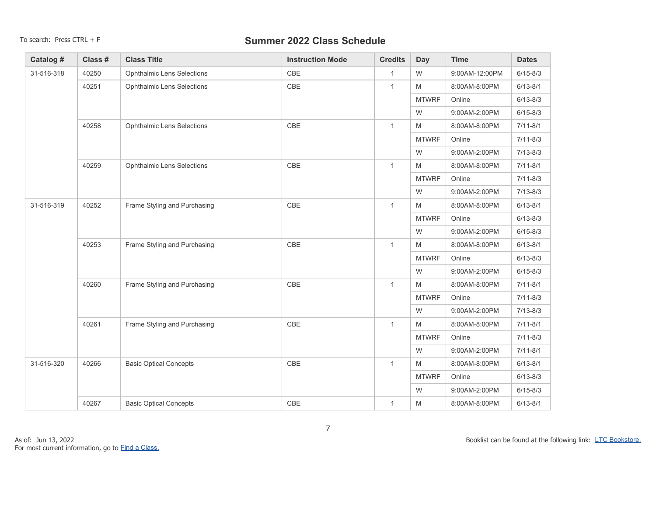| Catalog #  | Class # | <b>Class Title</b>                | <b>Instruction Mode</b> | <b>Credits</b> | Day           | <b>Time</b>    | <b>Dates</b> |
|------------|---------|-----------------------------------|-------------------------|----------------|---------------|----------------|--------------|
| 31-516-318 | 40250   | <b>Ophthalmic Lens Selections</b> | <b>CBE</b>              | $\mathbf{1}$   | W             | 9:00AM-12:00PM | $6/15 - 8/3$ |
|            | 40251   | <b>Ophthalmic Lens Selections</b> | CBE                     | $\mathbf{1}$   | M             | 8:00AM-8:00PM  | $6/13 - 8/1$ |
|            |         |                                   |                         |                | <b>MTWRF</b>  | Online         | $6/13 - 8/3$ |
|            |         |                                   |                         |                | W             | 9:00AM-2:00PM  | $6/15 - 8/3$ |
|            | 40258   | <b>Ophthalmic Lens Selections</b> | CBE                     | $\mathbf{1}$   | M             | 8:00AM-8:00PM  | $7/11 - 8/1$ |
|            |         |                                   |                         |                | <b>MTWRF</b>  | Online         | $7/11 - 8/3$ |
|            |         |                                   |                         |                | W             | 9:00AM-2:00PM  | $7/13 - 8/3$ |
|            | 40259   | <b>Ophthalmic Lens Selections</b> | CBE                     | $\mathbf{1}$   | M             | 8:00AM-8:00PM  | $7/11 - 8/1$ |
|            |         |                                   |                         |                | <b>MTWRF</b>  | Online         | $7/11 - 8/3$ |
|            |         |                                   |                         | W              | 9:00AM-2:00PM | $7/13 - 8/3$   |              |
| 31-516-319 | 40252   | Frame Styling and Purchasing      | CBE                     | $\mathbf{1}$   | M             | 8:00AM-8:00PM  | $6/13 - 8/1$ |
|            |         |                                   |                         |                | <b>MTWRF</b>  | Online         | $6/13 - 8/3$ |
|            |         |                                   |                         |                | W             | 9:00AM-2:00PM  | $6/15 - 8/3$ |
|            | 40253   | Frame Styling and Purchasing      | CBE                     | $\mathbf{1}$   | M             | 8:00AM-8:00PM  | $6/13 - 8/1$ |
|            |         |                                   |                         |                | <b>MTWRF</b>  | Online         | $6/13 - 8/3$ |
|            |         |                                   |                         |                | W             | 9:00AM-2:00PM  | $6/15 - 8/3$ |
|            | 40260   | Frame Styling and Purchasing      | CBE                     | $\mathbf{1}$   | M             | 8:00AM-8:00PM  | $7/11 - 8/1$ |
|            |         |                                   |                         |                | <b>MTWRF</b>  | Online         | $7/11 - 8/3$ |
|            |         |                                   |                         |                | W             | 9:00AM-2:00PM  | $7/13 - 8/3$ |
|            | 40261   | Frame Styling and Purchasing      | CBE                     | $\mathbf{1}$   | M             | 8:00AM-8:00PM  | $7/11 - 8/1$ |
|            |         |                                   |                         |                | <b>MTWRF</b>  | Online         | $7/11 - 8/3$ |
|            |         |                                   |                         |                | W             | 9:00AM-2:00PM  | $7/11 - 8/1$ |
| 31-516-320 | 40266   | <b>Basic Optical Concepts</b>     | CBE                     | $\mathbf{1}$   | M             | 8:00AM-8:00PM  | $6/13 - 8/1$ |
|            |         |                                   |                         |                | <b>MTWRF</b>  | Online         | $6/13 - 8/3$ |
|            |         |                                   |                         |                | W             | 9:00AM-2:00PM  | $6/15 - 8/3$ |
|            | 40267   | <b>Basic Optical Concepts</b>     | CBE                     | 1              | M             | 8:00AM-8:00PM  | $6/13 - 8/1$ |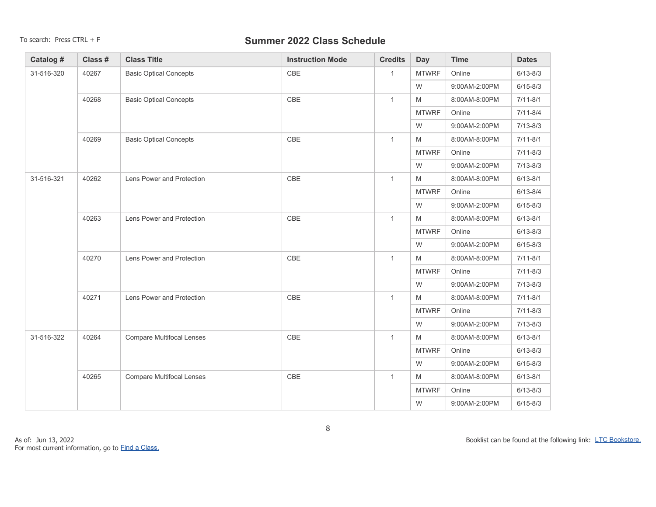| Catalog #  | Class # | <b>Class Title</b>               | <b>Instruction Mode</b> | <b>Credits</b> | Day                                                                                                        | <b>Time</b>   | <b>Dates</b> |
|------------|---------|----------------------------------|-------------------------|----------------|------------------------------------------------------------------------------------------------------------|---------------|--------------|
| 31-516-320 | 40267   | <b>Basic Optical Concepts</b>    | CBE                     | $\mathbf{1}$   | <b>MTWRF</b>                                                                                               | Online        | $6/13 - 8/3$ |
|            |         |                                  |                         |                | ${\sf W}$                                                                                                  | 9:00AM-2:00PM | $6/15 - 8/3$ |
|            | 40268   | <b>Basic Optical Concepts</b>    | CBE                     | $\mathbf{1}$   | M                                                                                                          | 8:00AM-8:00PM | $7/11 - 8/1$ |
|            |         |                                  |                         |                | <b>MTWRF</b>                                                                                               | Online        | $7/11 - 8/4$ |
|            |         |                                  |                         |                | W                                                                                                          | 9:00AM-2:00PM | $7/13 - 8/3$ |
|            | 40269   | <b>Basic Optical Concepts</b>    | CBE                     | $\mathbf{1}$   | $\mathsf{M}% _{T}=\mathsf{M}_{T}\!\left( a,b\right) ,\ \mathsf{M}_{T}=\mathsf{M}_{T}\!\left( a,b\right) ,$ | 8:00AM-8:00PM | $7/11 - 8/1$ |
|            |         |                                  |                         |                | <b>MTWRF</b>                                                                                               | Online        | $7/11 - 8/3$ |
|            |         |                                  |                         |                | W                                                                                                          | 9:00AM-2:00PM | $7/13 - 8/3$ |
| 31-516-321 | 40262   | Lens Power and Protection        | CBE                     | $\mathbf{1}$   | M                                                                                                          | 8:00AM-8:00PM | $6/13 - 8/1$ |
|            |         |                                  |                         |                | <b>MTWRF</b>                                                                                               | Online        | $6/13 - 8/4$ |
|            |         |                                  |                         |                | W                                                                                                          | 9:00AM-2:00PM | $6/15 - 8/3$ |
|            | 40263   | Lens Power and Protection        | CBE                     | $\mathbf{1}$   | M                                                                                                          | 8:00AM-8:00PM | $6/13 - 8/1$ |
|            |         |                                  |                         |                | <b>MTWRF</b>                                                                                               | Online        | $6/13 - 8/3$ |
|            |         |                                  |                         |                | W                                                                                                          | 9:00AM-2:00PM | $6/15 - 8/3$ |
|            | 40270   | Lens Power and Protection        | CBE                     | $\mathbf{1}$   | M                                                                                                          | 8:00AM-8:00PM | $7/11 - 8/1$ |
|            |         |                                  |                         |                | <b>MTWRF</b>                                                                                               | Online        | $7/11 - 8/3$ |
|            |         |                                  |                         |                | W                                                                                                          | 9:00AM-2:00PM | $7/13 - 8/3$ |
|            | 40271   | Lens Power and Protection        | CBE                     | $\mathbf{1}$   | M                                                                                                          | 8:00AM-8:00PM | $7/11 - 8/1$ |
|            |         |                                  |                         |                | <b>MTWRF</b>                                                                                               | Online        | $7/11 - 8/3$ |
|            |         |                                  |                         |                | W                                                                                                          | 9:00AM-2:00PM | $7/13 - 8/3$ |
| 31-516-322 | 40264   | <b>Compare Multifocal Lenses</b> | CBE                     | $\mathbf{1}$   | M                                                                                                          | 8:00AM-8:00PM | $6/13 - 8/1$ |
|            |         |                                  |                         |                | <b>MTWRF</b>                                                                                               | Online        | $6/13 - 8/3$ |
|            |         |                                  |                         |                | W                                                                                                          | 9:00AM-2:00PM | $6/15 - 8/3$ |
|            | 40265   | <b>Compare Multifocal Lenses</b> | CBE                     | $\mathbf{1}$   | M                                                                                                          | 8:00AM-8:00PM | $6/13 - 8/1$ |
|            |         |                                  |                         |                | <b>MTWRF</b>                                                                                               | Online        | $6/13 - 8/3$ |
|            |         |                                  |                         |                | W                                                                                                          | 9:00AM-2:00PM | $6/15 - 8/3$ |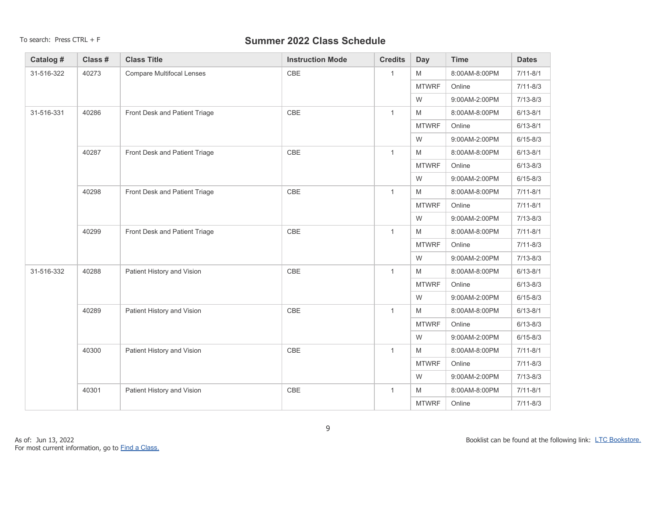| Catalog #  | Class # | <b>Class Title</b>               | <b>Instruction Mode</b> | <b>Credits</b> | Day          | <b>Time</b>   | <b>Dates</b> |
|------------|---------|----------------------------------|-------------------------|----------------|--------------|---------------|--------------|
| 31-516-322 | 40273   | <b>Compare Multifocal Lenses</b> | CBE                     | $\mathbf{1}$   | M            | 8:00AM-8:00PM | $7/11 - 8/1$ |
|            |         |                                  |                         |                | <b>MTWRF</b> | Online        | $7/11 - 8/3$ |
|            |         |                                  |                         |                | W            | 9:00AM-2:00PM | $7/13 - 8/3$ |
| 31-516-331 | 40286   | Front Desk and Patient Triage    | CBE                     | $\mathbf{1}$   | M            | 8:00AM-8:00PM | $6/13 - 8/1$ |
|            |         |                                  |                         |                | <b>MTWRF</b> | Online        | $6/13 - 8/1$ |
|            |         |                                  |                         |                | W            | 9:00AM-2:00PM | $6/15 - 8/3$ |
| 40287      |         | Front Desk and Patient Triage    | CBE                     | $\mathbf{1}$   | M            | 8:00AM-8:00PM | $6/13 - 8/1$ |
|            |         |                                  |                         |                | <b>MTWRF</b> | Online        | $6/13 - 8/3$ |
|            |         |                                  |                         |                | W            | 9:00AM-2:00PM | $6/15 - 8/3$ |
|            | 40298   | Front Desk and Patient Triage    | $\mathsf{CBE}$          | $\mathbf{1}$   | M            | 8:00AM-8:00PM | $7/11 - 8/1$ |
|            |         |                                  |                         |                | <b>MTWRF</b> | Online        | $7/11 - 8/1$ |
|            |         |                                  |                         |                | W            | 9:00AM-2:00PM | $7/13 - 8/3$ |
|            | 40299   | Front Desk and Patient Triage    | CBE                     | $\mathbf{1}$   | M            | 8:00AM-8:00PM | $7/11 - 8/1$ |
|            |         |                                  |                         |                | <b>MTWRF</b> | Online        | $7/11 - 8/3$ |
|            |         |                                  |                         |                | W            | 9:00AM-2:00PM | $7/13 - 8/3$ |
| 31-516-332 | 40288   | Patient History and Vision       | $\mathsf{CBE}$          | $\mathbf{1}$   | M            | 8:00AM-8:00PM | $6/13 - 8/1$ |
|            |         |                                  |                         |                | <b>MTWRF</b> | Online        | $6/13 - 8/3$ |
|            |         |                                  |                         |                | W            | 9:00AM-2:00PM | $6/15 - 8/3$ |
|            | 40289   | Patient History and Vision       | $\mathsf{CBE}$          | $\mathbf{1}$   | M            | 8:00AM-8:00PM | $6/13 - 8/1$ |
|            |         |                                  |                         |                | <b>MTWRF</b> | Online        | $6/13 - 8/3$ |
|            |         |                                  |                         |                | W            | 9:00AM-2:00PM | $6/15 - 8/3$ |
|            | 40300   | Patient History and Vision       | CBE                     | $\mathbf{1}$   | M            | 8:00AM-8:00PM | $7/11 - 8/1$ |
|            |         |                                  |                         |                | <b>MTWRF</b> | Online        | $7/11 - 8/3$ |
|            |         |                                  |                         |                | W            | 9:00AM-2:00PM | $7/13 - 8/3$ |
|            | 40301   | Patient History and Vision       | CBE                     | $\mathbf{1}$   | M            | 8:00AM-8:00PM | $7/11 - 8/1$ |
|            |         |                                  |                         |                | <b>MTWRF</b> | Online        | $7/11 - 8/3$ |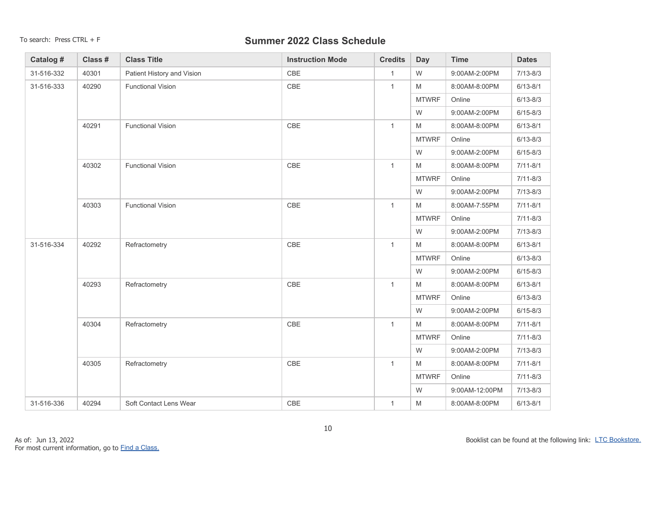| Catalog #  | Class # | <b>Class Title</b>         | <b>Instruction Mode</b> | <b>Credits</b> | <b>Day</b>                                                                                                 | <b>Time</b>    | <b>Dates</b> |
|------------|---------|----------------------------|-------------------------|----------------|------------------------------------------------------------------------------------------------------------|----------------|--------------|
| 31-516-332 | 40301   | Patient History and Vision | <b>CBE</b>              | $\mathbf{1}$   | W                                                                                                          | 9:00AM-2:00PM  | $7/13 - 8/3$ |
| 31-516-333 | 40290   | <b>Functional Vision</b>   | CBE                     | $\mathbf{1}$   | M                                                                                                          | 8:00AM-8:00PM  | $6/13 - 8/1$ |
|            |         |                            |                         |                | <b>MTWRF</b>                                                                                               | Online         | $6/13 - 8/3$ |
|            |         |                            |                         |                | W                                                                                                          | 9:00AM-2:00PM  | $6/15 - 8/3$ |
|            | 40291   | <b>Functional Vision</b>   | CBE                     | $\mathbf{1}$   | M                                                                                                          | 8:00AM-8:00PM  | $6/13 - 8/1$ |
|            |         |                            |                         |                | <b>MTWRF</b>                                                                                               | Online         | $6/13 - 8/3$ |
|            |         |                            |                         |                | W                                                                                                          | 9:00AM-2:00PM  | $6/15 - 8/3$ |
|            | 40302   | <b>Functional Vision</b>   | CBE                     | $\mathbf{1}$   | M                                                                                                          | 8:00AM-8:00PM  | $7/11 - 8/1$ |
|            |         |                            |                         |                | <b>MTWRF</b>                                                                                               | Online         | $7/11 - 8/3$ |
| 40303      |         |                            |                         |                | W                                                                                                          | 9:00AM-2:00PM  | $7/13 - 8/3$ |
|            |         | <b>Functional Vision</b>   | CBE                     | $\mathbf{1}$   | $\mathsf{M}% _{T}=\mathsf{M}_{T}\!\left( a,b\right) ,\ \mathsf{M}_{T}=\mathsf{M}_{T}\!\left( a,b\right) ,$ | 8:00AM-7:55PM  | $7/11 - 8/1$ |
|            |         |                            |                         |                | <b>MTWRF</b>                                                                                               | Online         | $7/11 - 8/3$ |
|            |         |                            |                         |                | W                                                                                                          | 9:00AM-2:00PM  | $7/13 - 8/3$ |
| 31-516-334 | 40292   | Refractometry              | CBE                     | $\mathbf{1}$   | M                                                                                                          | 8:00AM-8:00PM  | $6/13 - 8/1$ |
|            |         |                            |                         |                | <b>MTWRF</b>                                                                                               | Online         | $6/13 - 8/3$ |
|            |         |                            |                         |                | W                                                                                                          | 9:00AM-2:00PM  | $6/15 - 8/3$ |
|            | 40293   | Refractometry              | CBE                     | $\mathbf{1}$   | M                                                                                                          | 8:00AM-8:00PM  | $6/13 - 8/1$ |
|            |         |                            |                         |                | <b>MTWRF</b>                                                                                               | Online         | $6/13 - 8/3$ |
|            |         |                            |                         |                | W                                                                                                          | 9:00AM-2:00PM  | $6/15 - 8/3$ |
|            | 40304   | Refractometry              | CBE                     | $\mathbf{1}$   | M                                                                                                          | 8:00AM-8:00PM  | $7/11 - 8/1$ |
|            |         |                            |                         |                | <b>MTWRF</b>                                                                                               | Online         | $7/11 - 8/3$ |
|            |         |                            |                         |                | W                                                                                                          | 9:00AM-2:00PM  | $7/13 - 8/3$ |
|            | 40305   | Refractometry              | CBE                     | $\mathbf{1}$   | M                                                                                                          | 8:00AM-8:00PM  | $7/11 - 8/1$ |
|            |         |                            |                         |                | <b>MTWRF</b>                                                                                               | Online         | $7/11 - 8/3$ |
|            |         |                            |                         |                | W                                                                                                          | 9:00AM-12:00PM | $7/13 - 8/3$ |
| 31-516-336 | 40294   | Soft Contact Lens Wear     | CBE                     | $\mathbf{1}$   | M                                                                                                          | 8:00AM-8:00PM  | $6/13 - 8/1$ |

Booklist can be found at the following link: [LTC Bookstore.](https://www.bkstr.com/lakeshoretechnicalstore )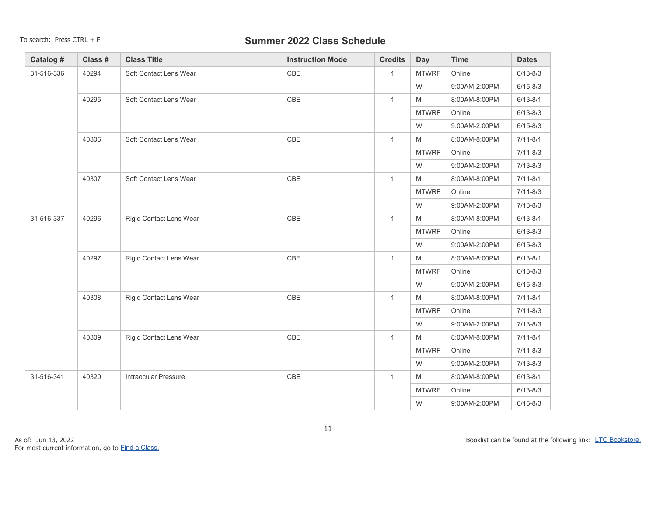| Catalog #  | Class # | <b>Class Title</b>             | <b>Instruction Mode</b> | <b>Credits</b> | Day          | <b>Time</b>   | <b>Dates</b> |
|------------|---------|--------------------------------|-------------------------|----------------|--------------|---------------|--------------|
| 31-516-336 | 40294   | Soft Contact Lens Wear         | CBE                     | $\mathbf{1}$   | <b>MTWRF</b> | Online        | $6/13 - 8/3$ |
|            |         |                                |                         |                | W            | 9:00AM-2:00PM | $6/15 - 8/3$ |
|            | 40295   | Soft Contact Lens Wear         | CBE                     | $\mathbf{1}$   | M            | 8:00AM-8:00PM | $6/13 - 8/1$ |
|            |         |                                |                         |                | <b>MTWRF</b> | Online        | $6/13 - 8/3$ |
|            |         |                                |                         |                | W            | 9:00AM-2:00PM | $6/15 - 8/3$ |
|            | 40306   | Soft Contact Lens Wear         | CBE                     | $\mathbf{1}$   | M            | 8:00AM-8:00PM | $7/11 - 8/1$ |
|            |         |                                |                         |                | <b>MTWRF</b> | Online        | $7/11 - 8/3$ |
|            |         |                                |                         |                | W            | 9:00AM-2:00PM | $7/13 - 8/3$ |
| 40307      |         | Soft Contact Lens Wear         | CBE                     | $\mathbf{1}$   | M            | 8:00AM-8:00PM | $7/11 - 8/1$ |
|            |         |                                |                         |                | <b>MTWRF</b> | Online        | $7/11 - 8/3$ |
|            |         |                                |                         |                | W            | 9:00AM-2:00PM | $7/13 - 8/3$ |
| 31-516-337 | 40296   | Rigid Contact Lens Wear        | CBE                     | $\mathbf{1}$   | M            | 8:00AM-8:00PM | $6/13 - 8/1$ |
|            |         |                                |                         |                | <b>MTWRF</b> | Online        | $6/13 - 8/3$ |
|            |         |                                |                         |                | W            | 9:00AM-2:00PM | $6/15 - 8/3$ |
|            | 40297   | Rigid Contact Lens Wear        | CBE                     | $\mathbf{1}$   | M            | 8:00AM-8:00PM | $6/13 - 8/1$ |
|            |         |                                |                         |                | <b>MTWRF</b> | Online        | $6/13 - 8/3$ |
|            |         |                                |                         |                | W            | 9:00AM-2:00PM | $6/15 - 8/3$ |
|            | 40308   | Rigid Contact Lens Wear        | CBE                     | $\mathbf{1}$   | M            | 8:00AM-8:00PM | $7/11 - 8/1$ |
|            |         |                                |                         |                | <b>MTWRF</b> | Online        | $7/11 - 8/3$ |
|            |         |                                |                         |                | W            | 9:00AM-2:00PM | $7/13 - 8/3$ |
|            | 40309   | <b>Rigid Contact Lens Wear</b> | CBE                     | $\mathbf{1}$   | M            | 8:00AM-8:00PM | $7/11 - 8/1$ |
|            |         |                                |                         |                | <b>MTWRF</b> | Online        | $7/11 - 8/3$ |
|            |         |                                |                         |                | W            | 9:00AM-2:00PM | $7/13 - 8/3$ |
| 31-516-341 | 40320   | <b>Intraocular Pressure</b>    | CBE                     | $\mathbf{1}$   | M            | 8:00AM-8:00PM | $6/13 - 8/1$ |
|            |         |                                |                         |                | <b>MTWRF</b> | Online        | $6/13 - 8/3$ |
|            |         |                                |                         |                | W            | 9:00AM-2:00PM | $6/15 - 8/3$ |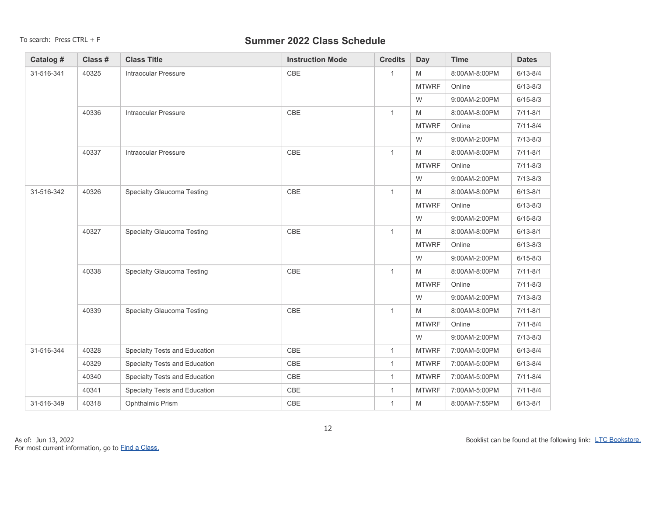| Catalog #  | Class # | <b>Class Title</b>            | <b>Instruction Mode</b> | <b>Credits</b> | <b>Day</b>   | <b>Time</b>   | <b>Dates</b> |
|------------|---------|-------------------------------|-------------------------|----------------|--------------|---------------|--------------|
| 31-516-341 | 40325   | <b>Intraocular Pressure</b>   | CBE                     | $\mathbf{1}$   | M            | 8:00AM-8:00PM | $6/13 - 8/4$ |
|            |         |                               |                         |                | <b>MTWRF</b> | Online        | $6/13 - 8/3$ |
|            |         |                               |                         |                | W            | 9:00AM-2:00PM | $6/15 - 8/3$ |
| 40336      |         | <b>Intraocular Pressure</b>   | CBE                     | $\mathbf{1}$   | M            | 8:00AM-8:00PM | $7/11 - 8/1$ |
|            |         |                               |                         |                | <b>MTWRF</b> | Online        | $7/11 - 8/4$ |
|            |         |                               |                         |                | W            | 9:00AM-2:00PM | $7/13 - 8/3$ |
| 40337      |         | <b>Intraocular Pressure</b>   | CBE                     | $\mathbf{1}$   | M            | 8:00AM-8:00PM | $7/11 - 8/1$ |
|            |         |                               |                         |                | <b>MTWRF</b> | Online        | $7/11 - 8/3$ |
|            |         |                               |                         |                | W            | 9:00AM-2:00PM | $7/13 - 8/3$ |
| 31-516-342 | 40326   | Specialty Glaucoma Testing    | CBE                     | $\mathbf{1}$   | M            | 8:00AM-8:00PM | $6/13 - 8/1$ |
|            |         |                               |                         |                | <b>MTWRF</b> | Online        | $6/13 - 8/3$ |
|            |         |                               |                         |                | W            | 9:00AM-2:00PM | $6/15 - 8/3$ |
|            | 40327   | Specialty Glaucoma Testing    | CBE                     | $\mathbf{1}$   | M            | 8:00AM-8:00PM | $6/13 - 8/1$ |
|            |         |                               |                         |                | <b>MTWRF</b> | Online        | $6/13 - 8/3$ |
|            |         |                               |                         |                | W            | 9:00AM-2:00PM | $6/15 - 8/3$ |
|            | 40338   | Specialty Glaucoma Testing    | CBE                     | $\mathbf{1}$   | M            | 8:00AM-8:00PM | $7/11 - 8/1$ |
|            |         |                               |                         |                | <b>MTWRF</b> | Online        | $7/11 - 8/3$ |
|            |         |                               |                         |                | W            | 9:00AM-2:00PM | $7/13 - 8/3$ |
|            | 40339   | Specialty Glaucoma Testing    | CBE                     | $\mathbf{1}$   | M            | 8:00AM-8:00PM | $7/11 - 8/1$ |
|            |         |                               |                         |                | <b>MTWRF</b> | Online        | $7/11 - 8/4$ |
|            |         |                               |                         |                | W            | 9:00AM-2:00PM | $7/13 - 8/3$ |
| 31-516-344 | 40328   | Specialty Tests and Education | CBE                     | $\mathbf{1}$   | <b>MTWRF</b> | 7:00AM-5:00PM | $6/13 - 8/4$ |
|            | 40329   | Specialty Tests and Education | CBE                     | $\mathbf{1}$   | <b>MTWRF</b> | 7:00AM-5:00PM | $6/13 - 8/4$ |
|            | 40340   | Specialty Tests and Education | CBE                     | $\mathbf{1}$   | <b>MTWRF</b> | 7:00AM-5:00PM | $7/11 - 8/4$ |
|            | 40341   | Specialty Tests and Education | CBE                     | $\mathbf{1}$   | <b>MTWRF</b> | 7:00AM-5:00PM | $7/11 - 8/4$ |
| 31-516-349 | 40318   | Ophthalmic Prism              | CBE                     | $\mathbf{1}$   | M            | 8:00AM-7:55PM | $6/13 - 8/1$ |